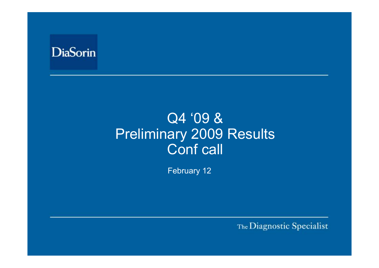

# Q4 '09 & Preliminary 2009 Results Conf call

February 12

The Diagnostic Specialist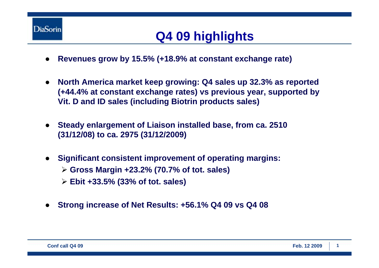

## **Q4 09 highlights**

- ●**Revenues grow by 15.5% (+18.9% at constant exchange rate)**
- ● **North America market keep growing: Q4 sales up 32.3% as reported (+44.4% at constant exchange rates) vs previous year, supported by Vit. D and ID sales (including Biotrin products sales)**
- $\bullet$  **Steady enlargement of Liaison installed base, from ca. 2510 (31/12/08) to ca. 2975 (31/12/2009)**
- ● **Significant consistent improvement of operating margins:**  ¾ **Gross Margin +23.2% (70.7% of tot. sales)** ¾ **Ebit +33.5% (33% of tot. sales)**
- ●**Strong increase of Net Results: +56.1% Q4 09 vs Q4 08**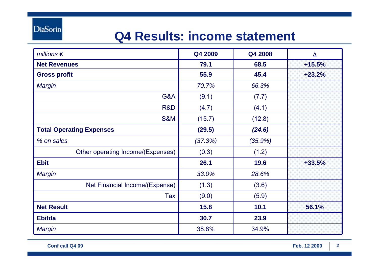**DiaSorin** 

## **Q4 Results: income statement**

| millions $\epsilon$               | Q4 2009 | Q4 2008    | $\Delta$ |
|-----------------------------------|---------|------------|----------|
| <b>Net Revenues</b>               | 79.1    | 68.5       | $+15.5%$ |
| <b>Gross profit</b>               | 55.9    | 45.4       | $+23.2%$ |
| Margin                            | 70.7%   | 66.3%      |          |
| G&A                               | (9.1)   | (7.7)      |          |
| R&D                               | (4.7)   | (4.1)      |          |
| <b>S&amp;M</b>                    | (15.7)  | (12.8)     |          |
| <b>Total Operating Expenses</b>   | (29.5)  | (24.6)     |          |
| % on sales                        | (37.3%) | $(35.9\%)$ |          |
| Other operating Income/(Expenses) | (0.3)   | (1.2)      |          |
| <b>Ebit</b>                       | 26.1    | 19.6       | $+33.5%$ |
| <b>Margin</b>                     | 33.0%   | 28.6%      |          |
| Net Financial Income/(Expense)    | (1.3)   | (3.6)      |          |
| Tax                               | (9.0)   | (5.9)      |          |
| <b>Net Result</b>                 | 15.8    | 10.1       | 56.1%    |
| <b>Ebitda</b>                     | 30.7    | 23.9       |          |
| <b>Margin</b>                     | 38.8%   | 34.9%      |          |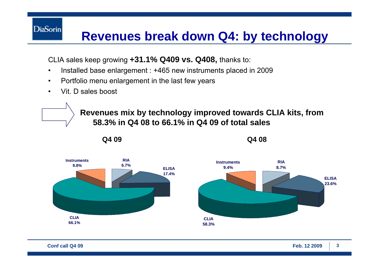### **Revenues break down Q4: by technology**

CLIA sales keep growing **+31.1% Q409 vs. Q408,** thanks to:

- •Installed base enlargement : +465 new instruments placed in 2009
- $\bullet$ Portfolio menu enlargement in the last few years
- •Vit. D sales boost

**DiaSorin** 

**Revenues mix by technology improved towards CLIA kits, from 58.3% in Q4 08 to 66.1% in Q4 09 of total sales** 



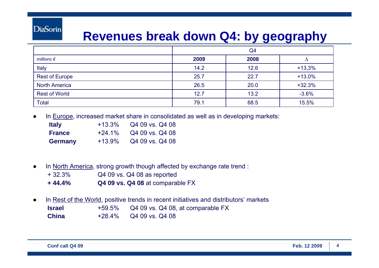#### **DiaSorin**

#### **Revenues break down Q4: by geography**

|                       | Q4   |      |          |
|-----------------------|------|------|----------|
| millions $\epsilon$   | 2009 | 2008 |          |
| Italy                 | 14.2 | 12.6 | $+13,3%$ |
| <b>Rest of Europe</b> | 25.7 | 22.7 | $+13.0%$ |
| <b>North America</b>  | 26.5 | 20.0 | $+32.3%$ |
| <b>Rest of World</b>  | 12.7 | 13.2 | $-3.6%$  |
| <b>Total</b>          | 79.1 | 68.5 | 15.5%    |

●In Europe, increased market share in consolidated as well as in developing markets:

| <b>Italy</b>   | $+13.3\%$ | Q4 09 vs. Q4 08 |
|----------------|-----------|-----------------|
| <b>France</b>  | $+24.1\%$ | Q4 09 vs. Q4 08 |
| <b>Germany</b> | $+13.9%$  | Q4 09 vs. Q4 08 |

- ● In North America, strong growth though affected by exchange rate trend :
	- + 32.3%Q4 09 vs. Q4 08 as reported
	- **+ 44.4% Q4 09 vs. Q4 08** at comparable FX
- ● In Rest of the World, positive trends in recent initiatives and distributors' markets **Israel** +59.5% Q4 09 vs. Q4 08, at comparable FX **China** +28.4% Q4 09 vs. Q4 08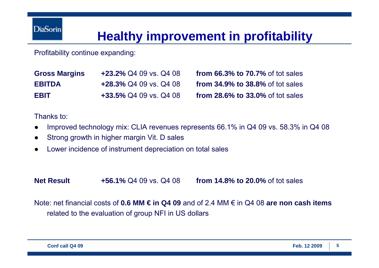## **Healthy improvement in profitability**

Profitability continue expanding:

| <b>Gross Margins</b> | $+23.2\%$ Q4 09 vs. Q4 08 |
|----------------------|---------------------------|
| <b>EBITDA</b>        | $+28.3\%$ Q4 09 vs. Q4 08 |
| EBIT                 | +33.5% Q4 09 vs. Q4 08    |

**from 66.3% to 70.7% of tot sales from 34.9% to 38.8% of tot sales from 28.6% to 33.0% of tot sales** 

Thanks to:

- ●Improved technology mix: CLIA revenues represents 66.1% in Q4 09 vs. 58.3% in Q4 08
- ●Strong growth in higher margin Vit. D sales
- ●Lower incidence of instrument depreciation on total sales

**Net Result +56.1%** Q4 09 vs. Q4 08 **from 14.8% to 20.0%** of tot sales

Note: net financial costs of **0.6 MM € in Q4 09** and of 2.4 MM € in Q4 08 **are non cash items**  related to the evaluation of group NFI in US dollars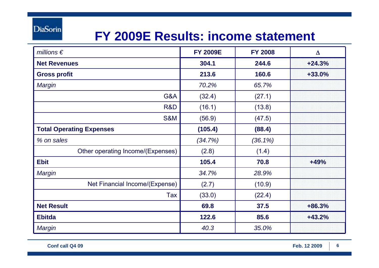**DiaSorin** 

#### **FY 2009E Results: income statement**

| millions $\epsilon$               | <b>FY 2009E</b> | <b>FY 2008</b> | $\Delta$ |
|-----------------------------------|-----------------|----------------|----------|
| <b>Net Revenues</b>               | 304.1           | 244.6          | $+24.3%$ |
| <b>Gross profit</b>               | 213.6           | 160.6          | $+33.0%$ |
| <b>Margin</b>                     | 70.2%           | 65.7%          |          |
| G&A                               | (32.4)          | (27.1)         |          |
| R&D                               | (16.1)          | (13.8)         |          |
| <b>S&amp;M</b>                    | (56.9)          | (47.5)         |          |
| <b>Total Operating Expenses</b>   | (105.4)         | (88.4)         |          |
| % on sales                        | (34.7%)         | $(36.1\%)$     |          |
| Other operating Income/(Expenses) | (2.8)           | (1.4)          |          |
| <b>Ebit</b>                       | 105.4           | 70.8           | $+49%$   |
| <b>Margin</b>                     | 34.7%           | 28.9%          |          |
| Net Financial Income/(Expense)    | (2.7)           | (10.9)         |          |
| Tax                               | (33.0)          | (22.4)         |          |
| <b>Net Result</b>                 | 69.8            | 37.5           | $+86.3%$ |
| <b>Ebitda</b>                     | 122.6           | 85.6           | $+43.2%$ |
| Margin                            | 40.3            | 35.0%          |          |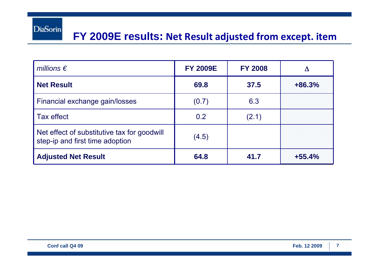#### **FY 2009E results: Net Result adjusted from except. item**

| millions $\epsilon$                                                            | <b>FY 2009E</b> | <b>FY 2008</b> |          |
|--------------------------------------------------------------------------------|-----------------|----------------|----------|
| <b>Net Result</b>                                                              | 69.8            | 37.5           | $+86.3%$ |
| Financial exchange gain/losses                                                 | (0.7)           | 6.3            |          |
| Tax effect                                                                     | 0.2             | (2.1)          |          |
| Net effect of substitutive tax for goodwill<br>step-ip and first time adoption | (4.5)           |                |          |
| <b>Adjusted Net Result</b>                                                     | 64.8            | 41.7           | $+55.4%$ |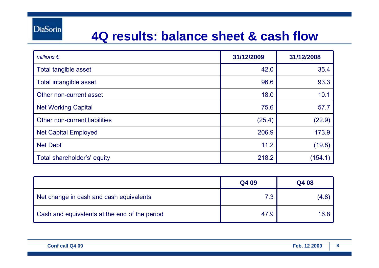#### **4Q results: balance sheet & cash flow**

| millions $\epsilon$           | 31/12/2009 | 31/12/2008 |
|-------------------------------|------------|------------|
| Total tangible asset          | 42,0       | 35.4       |
| Total intangible asset        | 96.6       | 93.3       |
| Other non-current asset       | 18.0       | 10.1       |
| <b>Net Working Capital</b>    | 75.6       | 57.7       |
| Other non-current liabilities | (25.4)     | (22.9)     |
| <b>Net Capital Employed</b>   | 206.9      | 173.9      |
| <b>Net Debt</b>               | 11.2       | (19.8)     |
| Total shareholder's' equity   | 218.2      | (154.1)    |

|                                               | Q4 09 | Q4 08 |
|-----------------------------------------------|-------|-------|
| Net change in cash and cash equivalents       | 7.3   | (4.8) |
| Cash and equivalents at the end of the period | 47.9  | 16.8  |